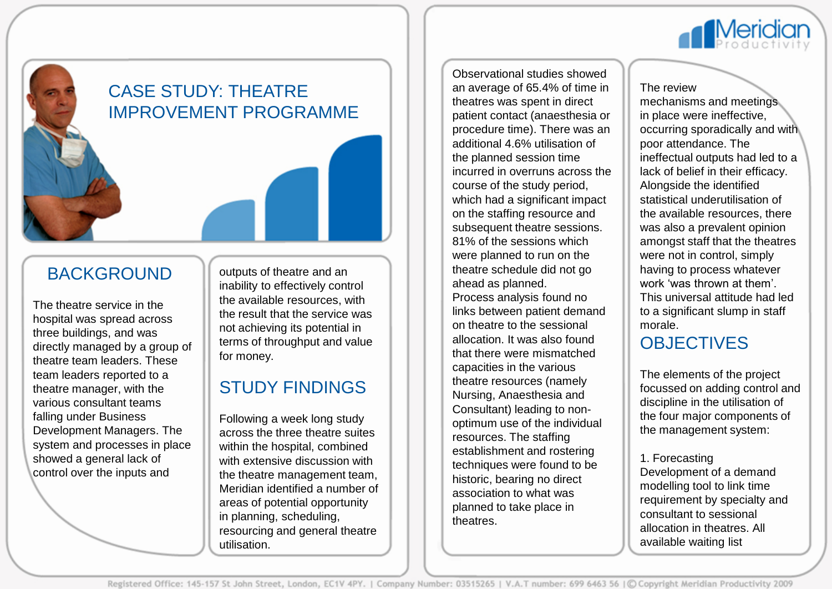

# CASE STUDY: THEATRE IMPROVEMENT PROGRAMME

### BACKGROUND

The theatre service in the hospital was spread across three buildings, and was directly managed by a group of theatre team leaders. These team leaders reported to a theatre manager, with the various consultant teams falling under Business Development Managers. The system and processes in place showed a general lack of control over the inputs and

outputs of theatre and an inability to effectively control the available resources, with the result that the service was not achieving its potential in terms of throughput and value for money.

# STUDY FINDINGS

Following a week long study across the three theatre suites within the hospital, combined with extensive discussion with the theatre management team, Meridian identified a number of areas of potential opportunity in planning, scheduling, resourcing and general theatre utilisation.

Observational studies showed an average of 65.4% of time in theatres was spent in direct patient contact (anaesthesia or procedure time). There was an additional 4.6% utilisation of the planned session time incurred in overruns across the course of the study period, which had a significant impact on the staffing resource and subsequent theatre sessions. 81% of the sessions which were planned to run on the theatre schedule did not go ahead as planned. Process analysis found no links between patient demand

on theatre to the sessional allocation. It was also found that there were mismatched capacities in the various theatre resources (namely Nursing, Anaesthesia and Consultant) leading to nonoptimum use of the individual resources. The staffing establishment and rostering techniques were found to be historic, bearing no direct association to what was planned to take place in theatres.

#### The review

mechanisms and meetings in place were ineffective, occurring sporadically and with poor attendance. The ineffectual outputs had led to a lack of belief in their efficacy. Alongside the identified statistical underutilisation of the available resources, there was also a prevalent opinion amongst staff that the theatres were not in control, simply having to process whatever work 'was thrown at them'. This universal attitude had led to a significant slump in staff morale.

## **OBJECTIVES**

The elements of the project focussed on adding control and discipline in the utilisation of the four major components of the management system:

#### 1. Forecasting

Development of a demand modelling tool to link time requirement by specialty and consultant to sessional allocation in theatres. All available waiting list

Registered Office: 145-157 St John Street, London, EC1V 4PY. | Company Number: 03515265 | V.A.T number: 699 6463 56 | © Copyright Meridian Productivity 2009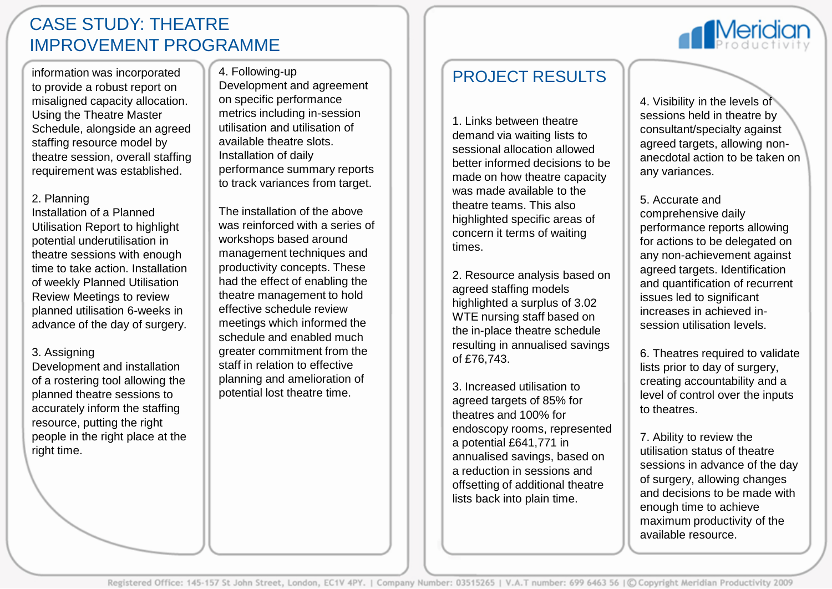### CASE STUDY: THEATRE IMPROVEMENT PROGRAMME

information was incorporated to provide a robust report on misaligned capacity allocation. Using the Theatre Master Schedule, alongside an agreed staffing resource model by theatre session, overall staffing requirement was established.

#### 2. Planning

Installation of a Planned Utilisation Report to highlight potential underutilisation in theatre sessions with enough time to take action. Installation of weekly Planned Utilisation Review Meetings to review planned utilisation 6-weeks in advance of the day of surgery.

#### 3. Assigning

Development and installation of a rostering tool allowing the planned theatre sessions to accurately inform the staffing resource, putting the right people in the right place at the right time.

#### 4. Following-up

Development and agreement on specific performance metrics including in-session utilisation and utilisation of available theatre slots. Installation of daily performance summary reports to track variances from target.

The installation of the above was reinforced with a series of workshops based around management techniques and productivity concepts. These had the effect of enabling the theatre management to hold effective schedule review meetings which informed the schedule and enabled much greater commitment from the staff in relation to effective planning and amelioration of potential lost theatre time.

### PROJECT RESULTS

1. Links between theatre demand via waiting lists to sessional allocation allowed better informed decisions to be made on how theatre capacity was made available to the theatre teams. This also highlighted specific areas of concern it terms of waiting times.

2. Resource analysis based on agreed staffing models highlighted a surplus of 3.02 WTE nursing staff based on the in-place theatre schedule resulting in annualised savings of £76,743.

3. Increased utilisation to agreed targets of 85% for theatres and 100% for endoscopy rooms, represented a potential £641,771 in annualised savings, based on a reduction in sessions and offsetting of additional theatre lists back into plain time.

4. Visibility in the levels of sessions held in theatre by consultant/specialty against agreed targets, allowing nonanecdotal action to be taken on any variances.

5. Accurate and comprehensive daily performance reports allowing for actions to be delegated on any non-achievement against agreed targets. Identification and quantification of recurrent issues led to significant increases in achieved insession utilisation levels.

6. Theatres required to validate lists prior to day of surgery, creating accountability and a level of control over the inputs to theatres.

7. Ability to review the utilisation status of theatre sessions in advance of the day of surgery, allowing changes and decisions to be made with enough time to achieve maximum productivity of the available resource.